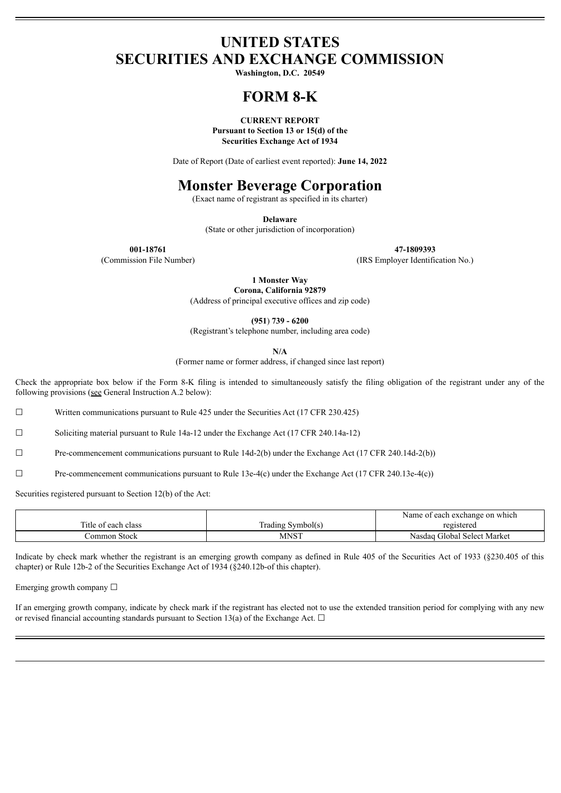## **UNITED STATES SECURITIES AND EXCHANGE COMMISSION**

**Washington, D.C. 20549**

## **FORM 8-K**

**CURRENT REPORT Pursuant to Section 13 or 15(d) of the Securities Exchange Act of 1934**

Date of Report (Date of earliest event reported): **June 14, 2022**

# **Monster Beverage Corporation**

(Exact name of registrant as specified in its charter)

**Delaware**

(State or other jurisdiction of incorporation)

**001-18761 47-1809393**

(Commission File Number) (IRS Employer Identification No.)

**1 Monster Way Corona, California 92879**

(Address of principal executive offices and zip code)

**(951**) **739 - 6200**

(Registrant's telephone number, including area code)

**N/A**

(Former name or former address, if changed since last report)

Check the appropriate box below if the Form 8-K filing is intended to simultaneously satisfy the filing obligation of the registrant under any of the following provisions (see General Instruction A.2 below):

☐ Written communications pursuant to Rule 425 under the Securities Act (17 CFR 230.425)

☐ Soliciting material pursuant to Rule 14a-12 under the Exchange Act (17 CFR 240.14a-12)

☐ Pre-commencement communications pursuant to Rule 14d-2(b) under the Exchange Act (17 CFR 240.14d-2(b))

☐ Pre-commencement communications pursuant to Rule 13e-4(c) under the Exchange Act (17 CFR 240.13e-4(c))

Securities registered pursuant to Section 12(b) of the Act:

|                     |                   | t each exchange on which<br>Name of |
|---------------------|-------------------|-------------------------------------|
| Title of each class | Trading Symbol(s) | registered                          |
| Common Stock        | <b>MNST</b>       | Nasdaq Global Select Market         |

Indicate by check mark whether the registrant is an emerging growth company as defined in Rule 405 of the Securities Act of 1933 (§230.405 of this chapter) or Rule 12b-2 of the Securities Exchange Act of 1934 (§240.12b-of this chapter).

Emerging growth company  $\Box$ 

If an emerging growth company, indicate by check mark if the registrant has elected not to use the extended transition period for complying with any new or revised financial accounting standards pursuant to Section 13(a) of the Exchange Act.  $\Box$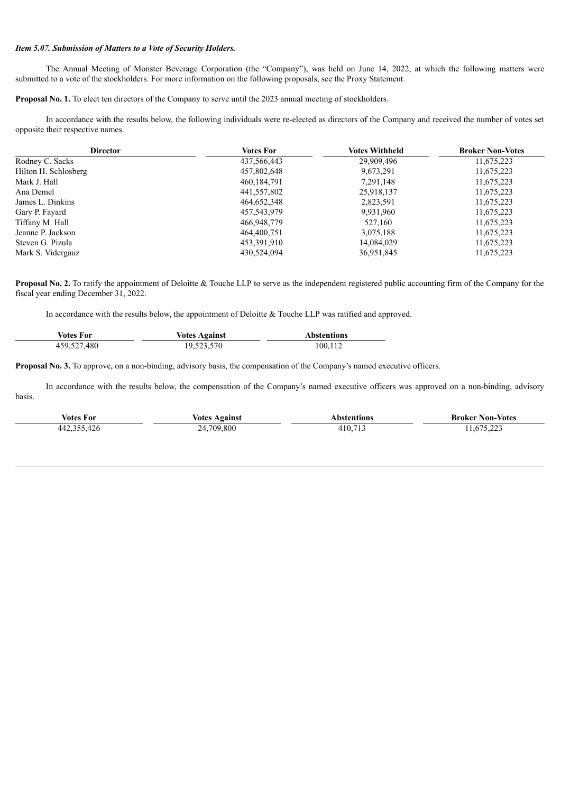### *Item 5.07. Submission of Matters to a Vote of Security Holders.*

The Annual Meeting of Monster Beverage Corporation (the "Company"), was held on June 14, 2022, at which the following matters were submitted to a vote of the stockholders. For more information on the following proposals, see the Proxy Statement.

**Proposal No. 1.** To elect ten directors of the Company to serve until the 2023 annual meeting of stockholders.

In accordance with the results below, the following individuals were re-elected as directors of the Company and received the number of votes set opposite their respective names.

| <b>Director</b>      | Votes For     | Votes Withheld | <b>Broker Non-Votes</b> |
|----------------------|---------------|----------------|-------------------------|
| Rodney C. Sacks      | 437,566,443   | 29,909,496     | 11,675,223              |
| Hilton H. Schlosberg | 457,802,648   | 9,673,291      | 11,675,223              |
| Mark J. Hall         | 460, 184, 791 | 7,291,148      | 11,675,223              |
| Ana Demel            | 441,557,802   | 25,918,137     | 11,675,223              |
| James L. Dinkins     | 464,652,348   | 2,823,591      | 11,675,223              |
| Gary P. Fayard       | 457,543,979   | 9,931,960      | 11,675,223              |
| Tiffany M. Hall      | 466,948,779   | 527,160        | 11,675,223              |
| Jeanne P. Jackson    | 464,400,751   | 3,075,188      | 11,675,223              |
| Steven G. Pizula     | 453,391,910   | 14,084,029     | 11,675,223              |
| Mark S. Vidergauz    | 430,524,094   | 36,951,845     | 11,675,223              |

**Proposal No. 2.** To ratify the appointment of Deloitte & Touche LLP to serve as the independent registered public accounting firm of the Company for the fiscal year ending December 31, 2022.

In accordance with the results below, the appointment of Deloitte & Touche LLP was ratified and approved.

| Votes For   | <b>Votes Against</b> | <b>Abstentions</b> |
|-------------|----------------------|--------------------|
| 459,527,480 | 19,523,570           | 100,112            |

**Proposal No. 3.** To approve, on a non-binding, advisory basis, the compensation of the Company's named executive officers.

In accordance with the results below, the compensation of the Company's named executive officers was approved on a non-binding, advisory basis.

| Votes For   | <i><b>Votes Against</b></i> | Abstentions | <b>Broker Non-Votes</b> |
|-------------|-----------------------------|-------------|-------------------------|
| 442,355,426 | 24,709,800                  | 410,713     | 11,675,223              |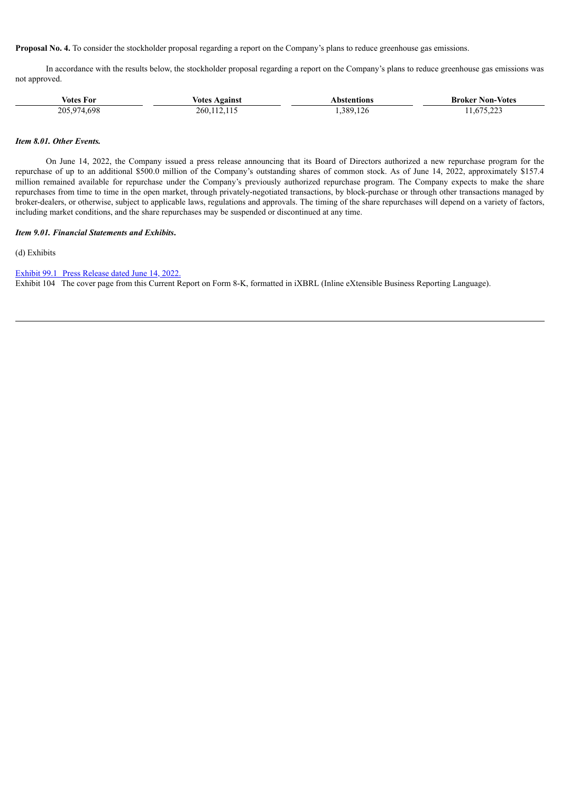**Proposal No. 4.** To consider the stockholder proposal regarding a report on the Company's plans to reduce greenhouse gas emissions.

In accordance with the results below, the stockholder proposal regarding a report on the Company's plans to reduce greenhouse gas emissions was not approved.

| <b>Votes For</b> | <b>Votes Against</b> | Abstentions | <b>Broker Non-Votes</b> |
|------------------|----------------------|-------------|-------------------------|
| 205,974,698      | 260, 112, 115        | .389,126    | 11,675,223              |

#### *Item 8.01. Other Events.*

On June 14, 2022, the Company issued a press release announcing that its Board of Directors authorized a new repurchase program for the repurchase of up to an additional \$500.0 million of the Company's outstanding shares of common stock. As of June 14, 2022, approximately \$157.4 million remained available for repurchase under the Company's previously authorized repurchase program. The Company expects to make the share repurchases from time to time in the open market, through privately-negotiated transactions, by block-purchase or through other transactions managed by broker-dealers, or otherwise, subject to applicable laws, regulations and approvals. The timing of the share repurchases will depend on a variety of factors, including market conditions, and the share repurchases may be suspended or discontinued at any time.

#### *Item 9.01. Financial Statements and Exhibits***.**

(d) Exhibits

Exhibit 99.1 Press [Release](#page-4-0) dated June 14, 2022.

Exhibit 104 The cover page from this Current Report on Form 8-K, formatted in iXBRL (Inline eXtensible Business Reporting Language).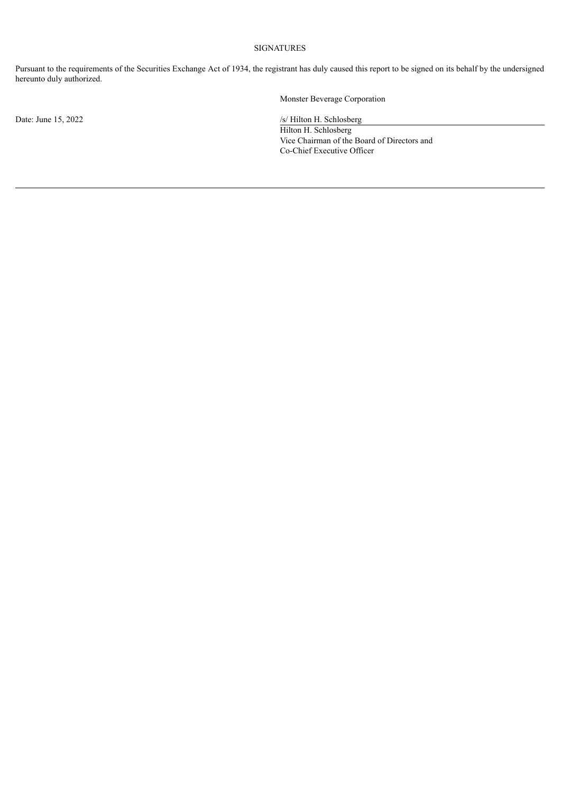## SIGNATURES

Pursuant to the requirements of the Securities Exchange Act of 1934, the registrant has duly caused this report to be signed on its behalf by the undersigned hereunto duly authorized.

Monster Beverage Corporation

Date: June 15, 2022 /s/ Hilton H. Schlosberg

Hilton H. Schlosberg Vice Chairman of the Board of Directors and Co-Chief Executive Officer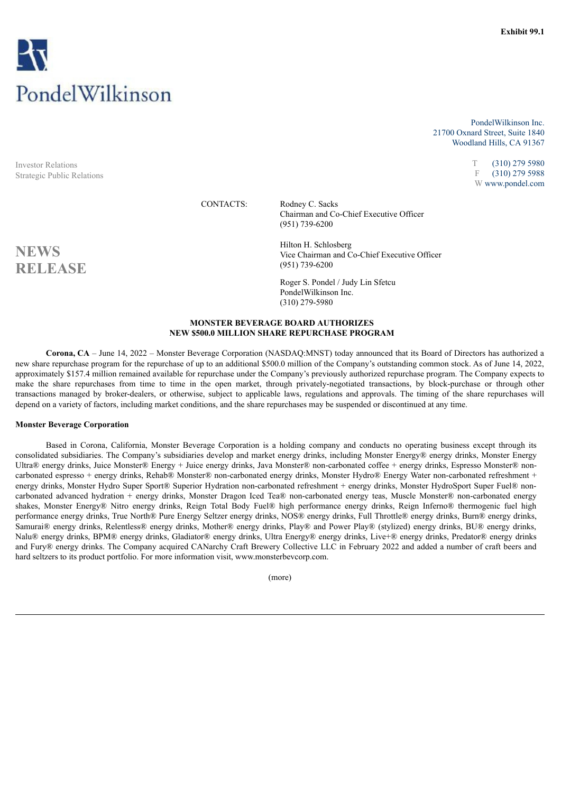<span id="page-4-0"></span>

Investor Relations Strategic Public Relations

PondelWilkinson Inc. 21700 Oxnard Street, Suite 1840 Woodland Hills, CA 91367

> T (310) 279 5980 F (310) 279 5988 W www.pondel.com

CONTACTS: Rodney C. Sacks Chairman and Co-Chief Executive Officer (951) 739-6200

**NEWS**<br>
Vice Chairman and Co-Chief Executive Officer **RELEASE** (951) 739-6200

> Roger S. Pondel / Judy Lin Sfetcu PondelWilkinson Inc. (310) 279-5980

### **MONSTER BEVERAGE BOARD AUTHORIZES NEW \$500.0 MILLION SHARE REPURCHASE PROGRAM**

**Corona, CA** – June 14, 2022 – Monster Beverage Corporation (NASDAQ:MNST) today announced that its Board of Directors has authorized a new share repurchase program for the repurchase of up to an additional \$500.0 million of the Company's outstanding common stock. As of June 14, 2022, approximately \$157.4 million remained available for repurchase under the Company's previously authorized repurchase program. The Company expects to make the share repurchases from time to time in the open market, through privately-negotiated transactions, by block-purchase or through other transactions managed by broker-dealers, or otherwise, subject to applicable laws, regulations and approvals. The timing of the share repurchases will depend on a variety of factors, including market conditions, and the share repurchases may be suspended or discontinued at any time.

#### **Monster Beverage Corporation**

Based in Corona, California, Monster Beverage Corporation is a holding company and conducts no operating business except through its consolidated subsidiaries. The Company's subsidiaries develop and market energy drinks, including Monster Energy® energy drinks, Monster Energy Ultra® energy drinks, Juice Monster® Energy + Juice energy drinks, Java Monster® non-carbonated coffee + energy drinks, Espresso Monster® noncarbonated espresso + energy drinks, Rehab® Monster® non-carbonated energy drinks, Monster Hydro® Energy Water non-carbonated refreshment + energy drinks, Monster Hydro Super Sport® Superior Hydration non-carbonated refreshment + energy drinks, Monster HydroSport Super Fuel® noncarbonated advanced hydration + energy drinks, Monster Dragon Iced Tea® non-carbonated energy teas, Muscle Monster® non-carbonated energy shakes, Monster Energy® Nitro energy drinks, Reign Total Body Fuel® high performance energy drinks, Reign Inferno® thermogenic fuel high performance energy drinks, True North® Pure Energy Seltzer energy drinks, NOS® energy drinks, Full Throttle® energy drinks, Burn® energy drinks, Samurai® energy drinks, Relentless® energy drinks, Mother® energy drinks, Play® and Power Play® (stylized) energy drinks, BU® energy drinks, Nalu® energy drinks, BPM® energy drinks, Gladiator® energy drinks, Ultra Energy® energy drinks, Live+® energy drinks, Predator® energy drinks and Fury® energy drinks. The Company acquired CANarchy Craft Brewery Collective LLC in February 2022 and added a number of craft beers and hard seltzers to its product portfolio. For more information visit, www.monsterbevcorp.com.

(more)